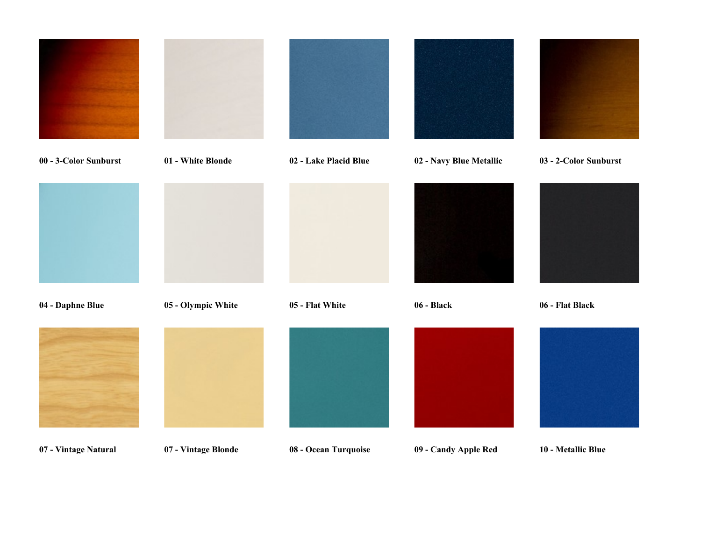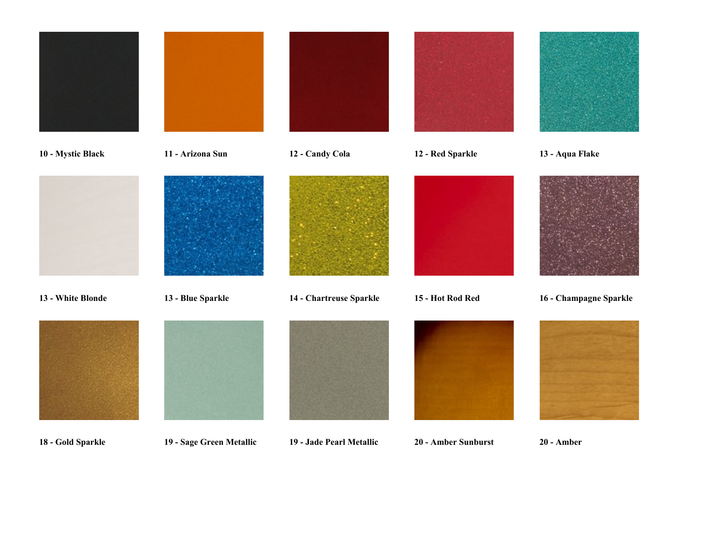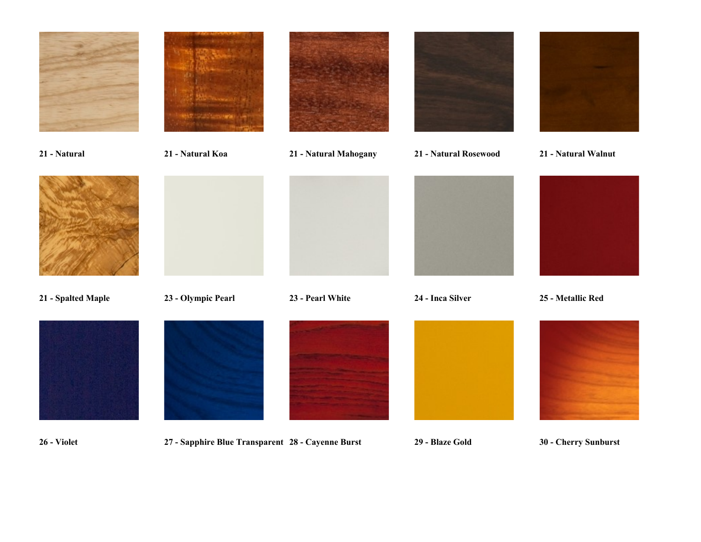



26 - Violet 27 - Sapphire Blue Transparent 28 - Cayenne Burst 29 - Blaze Gold 30 - Cherry Sunburst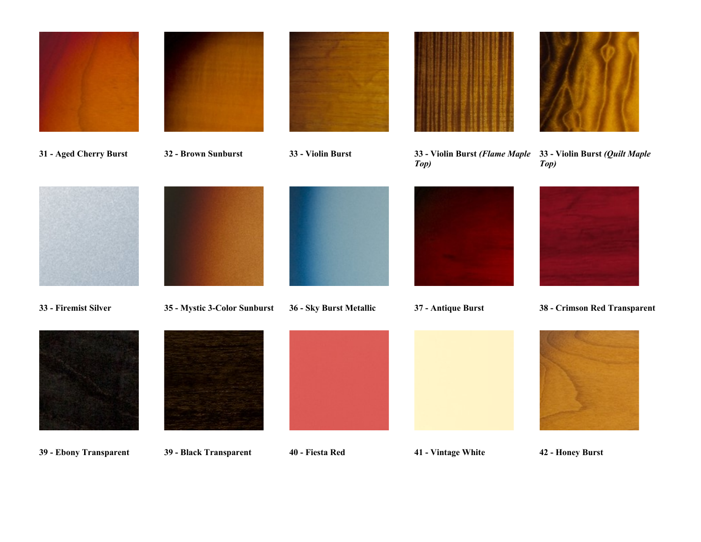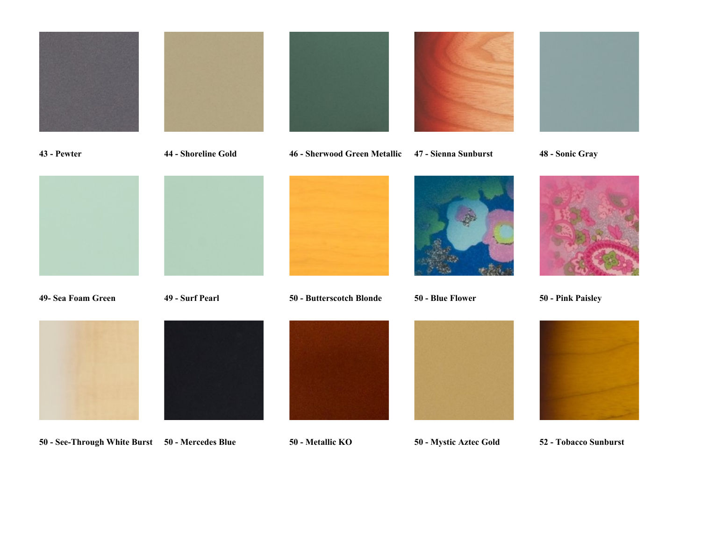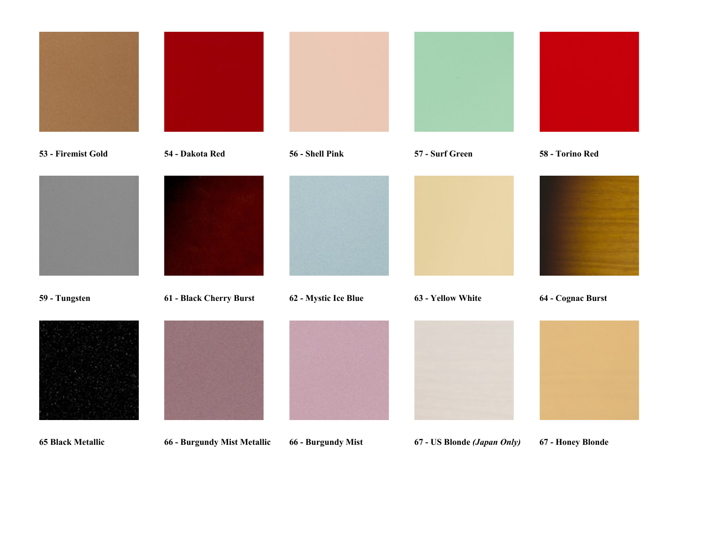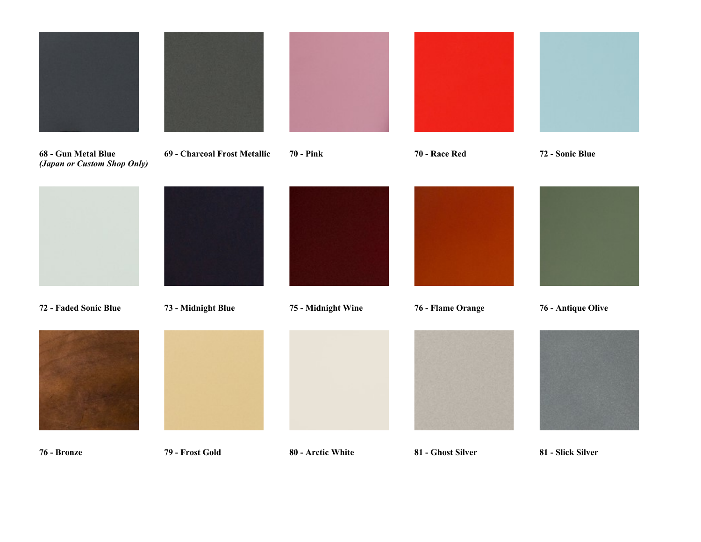









76 - Bronze 79 - Frost Gold 80 - Arctic White 81 - Ghost Silver 81 - Slick Silver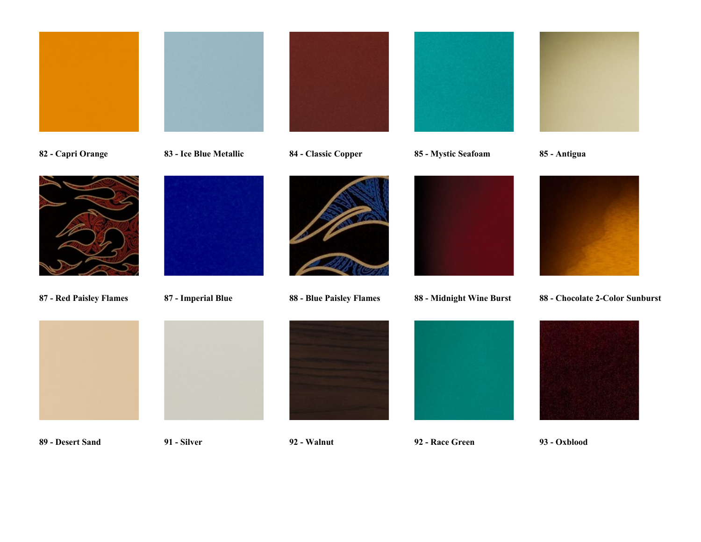